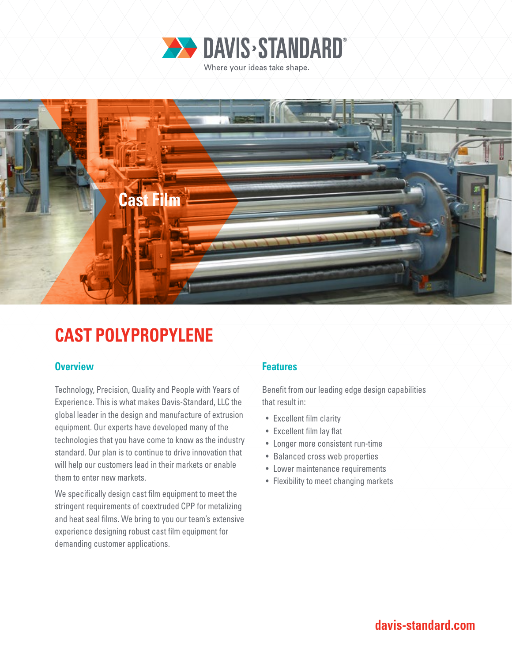



# **CAST POLYPROPYLENE**

# **Overview Features**

Technology, Precision, Quality and People with Years of Experience. This is what makes Davis-Standard, LLC the global leader in the design and manufacture of extrusion equipment. Our experts have developed many of the technologies that you have come to know as the industry standard. Our plan is to continue to drive innovation that will help our customers lead in their markets or enable them to enter new markets.

We specifically design cast film equipment to meet the stringent requirements of coextruded CPP for metalizing and heat seal films. We bring to you our team's extensive experience designing robust cast film equipment for demanding customer applications.

Benefit from our leading edge design capabilities that result in:

- Excellent film clarity
- Excellent film lay flat
- Longer more consistent run-time
- Balanced cross web properties
- Lower maintenance requirements
- Flexibility to meet changing markets